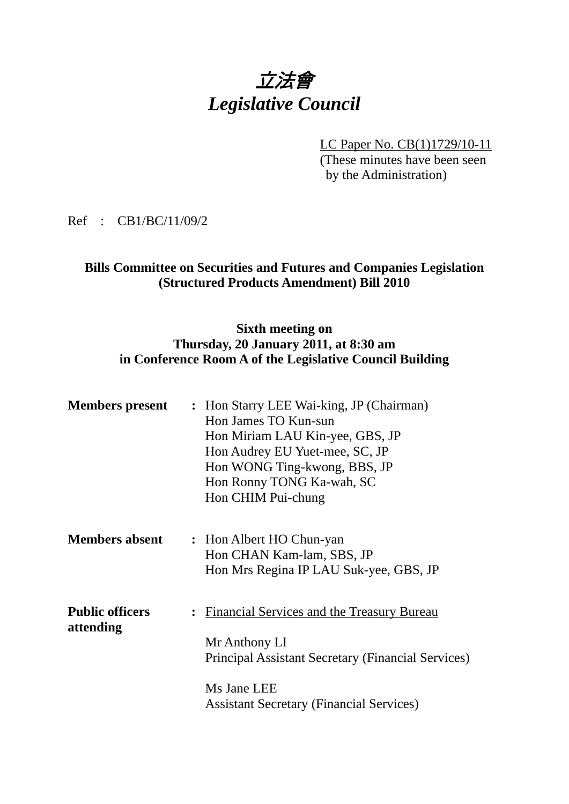# 立法會 *Legislative Council*

LC Paper No. CB(1)1729/10-11 (These minutes have been seen by the Administration)

Ref : CB1/BC/11/09/2

#### **Bills Committee on Securities and Futures and Companies Legislation (Structured Products Amendment) Bill 2010**

#### **Sixth meeting on Thursday, 20 January 2011, at 8:30 am in Conference Room A of the Legislative Council Building**

| <b>Members present</b> |                      | : Hon Starry LEE Wai-king, JP (Chairman)<br>Hon James TO Kun-sun<br>Hon Miriam LAU Kin-yee, GBS, JP<br>Hon Audrey EU Yuet-mee, SC, JP<br>Hon WONG Ting-kwong, BBS, JP<br>Hon Ronny TONG Ka-wah, SC |
|------------------------|----------------------|----------------------------------------------------------------------------------------------------------------------------------------------------------------------------------------------------|
|                        |                      | Hon CHIM Pui-chung                                                                                                                                                                                 |
|                        |                      |                                                                                                                                                                                                    |
| <b>Members absent</b>  |                      | : Hon Albert HO Chun-yan                                                                                                                                                                           |
|                        |                      | Hon CHAN Kam-lam, SBS, JP                                                                                                                                                                          |
|                        |                      | Hon Mrs Regina IP LAU Suk-yee, GBS, JP                                                                                                                                                             |
| <b>Public officers</b> | $\ddot{\phantom{a}}$ | Financial Services and the Treasury Bureau                                                                                                                                                         |
| attending              |                      |                                                                                                                                                                                                    |
|                        |                      | Mr Anthony LI                                                                                                                                                                                      |
|                        |                      | Principal Assistant Secretary (Financial Services)                                                                                                                                                 |
|                        |                      | Ms Jane LEE                                                                                                                                                                                        |
|                        |                      | <b>Assistant Secretary (Financial Services)</b>                                                                                                                                                    |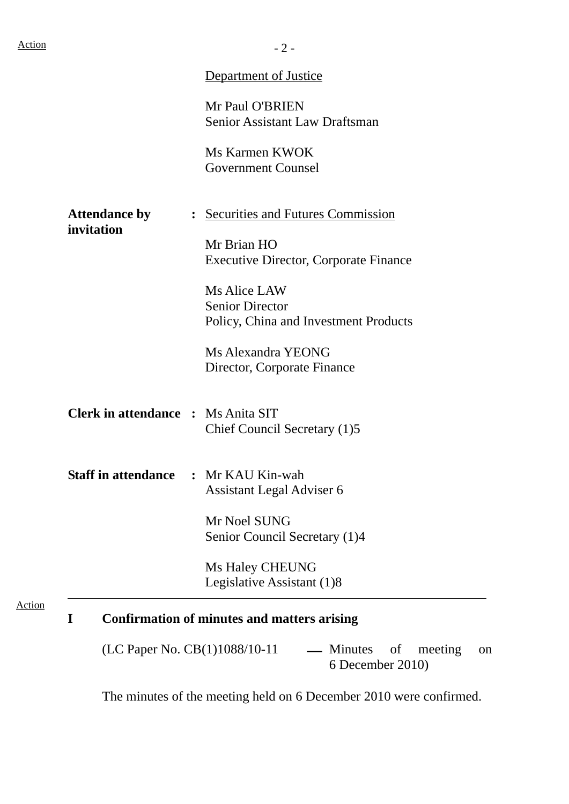|                                           | <b>Department of Justice</b>                             |
|-------------------------------------------|----------------------------------------------------------|
|                                           | Mr Paul O'BRIEN<br>Senior Assistant Law Draftsman        |
|                                           |                                                          |
|                                           | Ms Karmen KWOK                                           |
|                                           | <b>Government Counsel</b>                                |
| <b>Attendance by</b>                      | : Securities and Futures Commission                      |
| invitation                                | Mr Brian HO                                              |
|                                           | <b>Executive Director, Corporate Finance</b>             |
|                                           | Ms Alice LAW                                             |
|                                           | <b>Senior Director</b>                                   |
|                                           | Policy, China and Investment Products                    |
|                                           | Ms Alexandra YEONG                                       |
|                                           | Director, Corporate Finance                              |
| <b>Clerk in attendance : Ms Anita SIT</b> |                                                          |
|                                           | Chief Council Secretary (1)5                             |
|                                           | <b>Staff in attendance : Mr KAU Kin-wah</b>              |
|                                           | Assistant Legal Adviser 6                                |
|                                           | Mr Noel SUNG                                             |
|                                           | Senior Council Secretary (1)4                            |
|                                           | Ms Haley CHEUNG                                          |
|                                           | Legislative Assistant (1)8                               |
| I                                         | <b>Confirmation of minutes and matters arising</b>       |
|                                           | (LC Paper No. CB(1)1088/10-11<br>— Minutes of<br>meeting |

The minutes of the meeting held on 6 December 2010 were confirmed.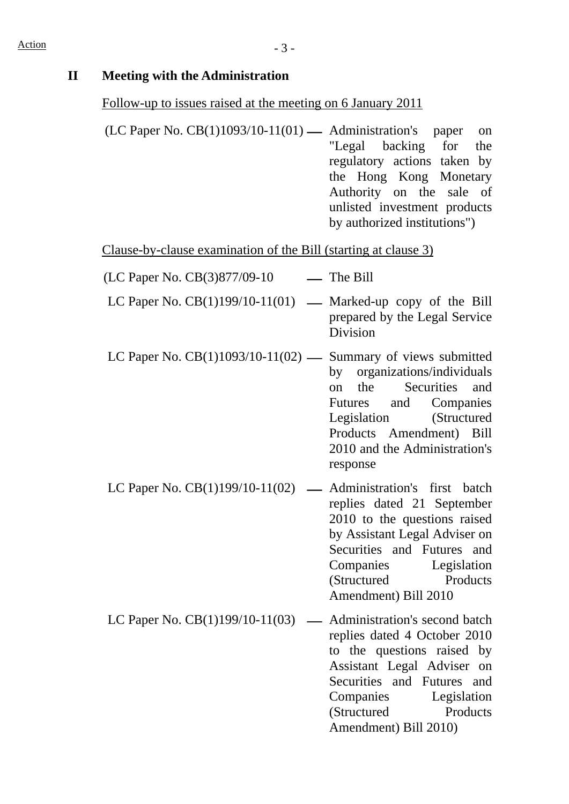### **II Meeting with the Administration**

#### Follow-up to issues raised at the meeting on 6 January 2011

 $(LC$  Paper No.  $CB(1)1093/10-11(01)$   $\longrightarrow$  Administration's paper on "Legal backing for the regulatory actions taken by the Hong Kong Monetary Authority on the sale of unlisted investment products by authorized institutions")

Clause-by-clause examination of the Bill (starting at clause 3)

- $(LC$  Paper No.  $CB(3)877/09-10$  The Bill
- LC Paper No.  $CB(1)199/10-11(01)$  Marked-up copy of the Bill prepared by the Legal Service Division
- LC Paper No.  $CB(1)1093/10-11(02)$  Summary of views submitted by organizations/individuals on the Securities and Futures and Companies Legislation (Structured Products Amendment) Bill 2010 and the Administration's response
- LC Paper No.  $CB(1)199/10-11(02)$  Administration's first batch replies dated 21 September 2010 to the questions raised by Assistant Legal Adviser on Securities and Futures and Companies Legislation (Structured Products Amendment) Bill 2010
- LC Paper No.  $CB(1)199/10-11(03)$  Administration's second batch replies dated 4 October 2010 to the questions raised by Assistant Legal Adviser on Securities and Futures and Companies Legislation (Structured Products Amendment) Bill 2010)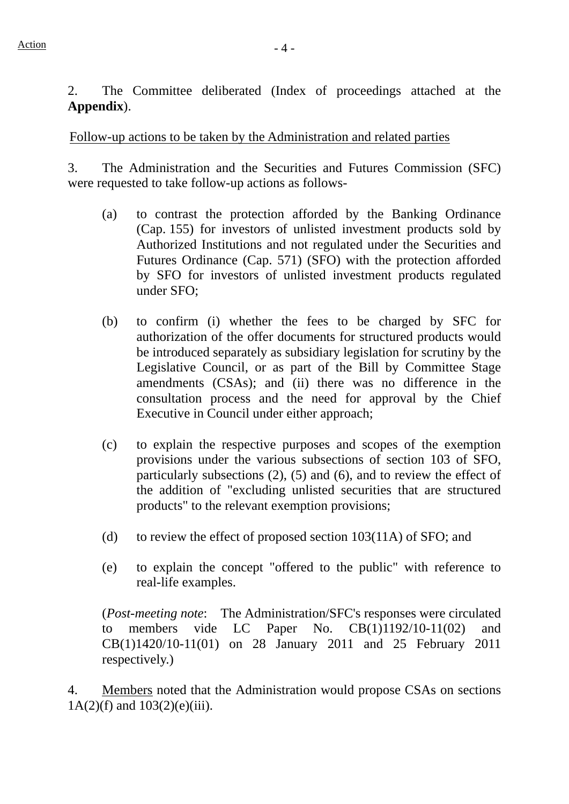2. The Committee deliberated (Index of proceedings attached at the **Appendix**).

Follow-up actions to be taken by the Administration and related parties

3. The Administration and the Securities and Futures Commission (SFC) were requested to take follow-up actions as follows-

- (a) to contrast the protection afforded by the Banking Ordinance (Cap. 155) for investors of unlisted investment products sold by Authorized Institutions and not regulated under the Securities and Futures Ordinance (Cap. 571) (SFO) with the protection afforded by SFO for investors of unlisted investment products regulated under SFO;
- (b) to confirm (i) whether the fees to be charged by SFC for authorization of the offer documents for structured products would be introduced separately as subsidiary legislation for scrutiny by the Legislative Council, or as part of the Bill by Committee Stage amendments (CSAs); and (ii) there was no difference in the consultation process and the need for approval by the Chief Executive in Council under either approach;
- (c) to explain the respective purposes and scopes of the exemption provisions under the various subsections of section 103 of SFO, particularly subsections (2), (5) and (6), and to review the effect of the addition of "excluding unlisted securities that are structured products" to the relevant exemption provisions;
- (d) to review the effect of proposed section 103(11A) of SFO; and
- (e) to explain the concept "offered to the public" with reference to real-life examples.

(*Post-meeting note*: The Administration/SFC's responses were circulated to members vide LC Paper No. CB(1)1192/10-11(02) and CB(1)1420/10-11(01) on 28 January 2011 and 25 February 2011 respectively.)

4. Members noted that the Administration would propose CSAs on sections 1A(2)(f) and 103(2)(e)(iii).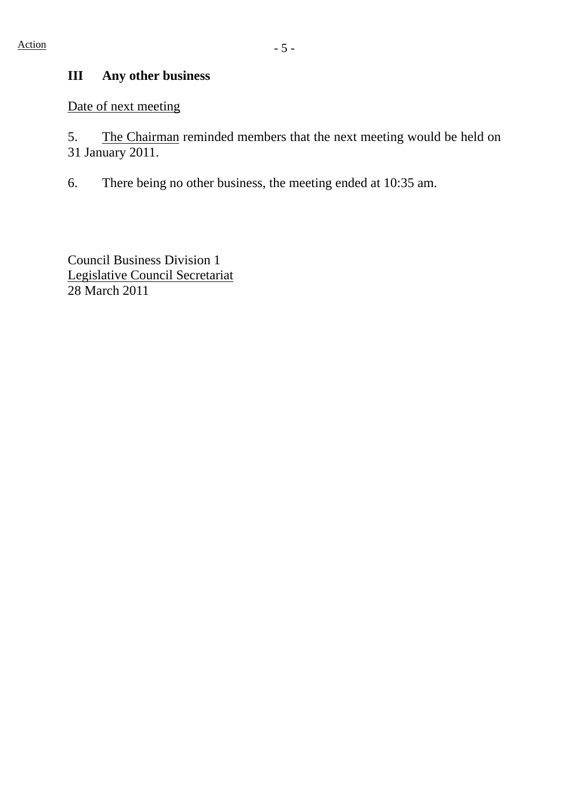# **III Any other business**

Date of next meeting

5. The Chairman reminded members that the next meeting would be held on 31 January 2011.

6. There being no other business, the meeting ended at 10:35 am.

Council Business Division 1 Legislative Council Secretariat 28 March 2011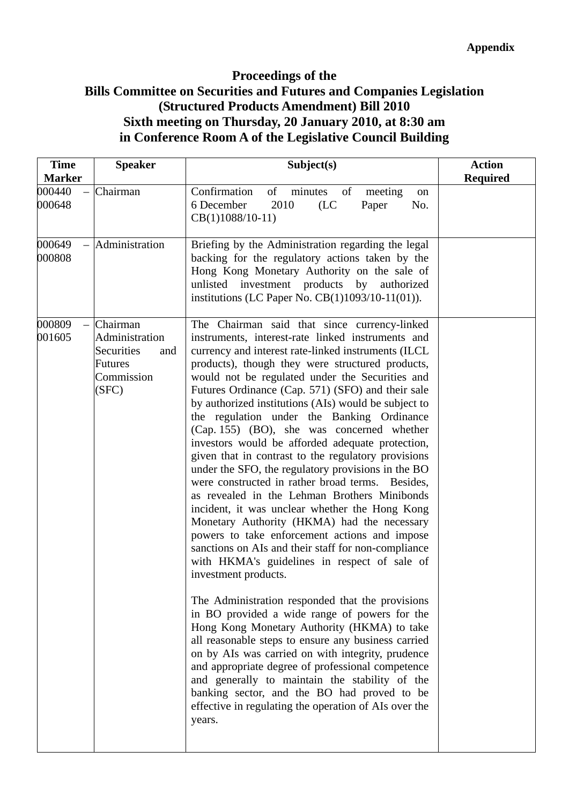## **Proceedings of the Bills Committee on Securities and Futures and Companies Legislation (Structured Products Amendment) Bill 2010 Sixth meeting on Thursday, 20 January 2010, at 8:30 am in Conference Room A of the Legislative Council Building**

| <b>Time</b><br><b>Marker</b> | <b>Speaker</b>                                                                           | Subject(s)                                                                                                                                                                                                                                                                                                                                                                                                                                                                                                                                                                                                                                                                                                                                                                                                                                                                                                                                                                                                                                                                                                                                                                                                                                                                                                                                                                                                                                                                                                              | <b>Action</b><br><b>Required</b> |
|------------------------------|------------------------------------------------------------------------------------------|-------------------------------------------------------------------------------------------------------------------------------------------------------------------------------------------------------------------------------------------------------------------------------------------------------------------------------------------------------------------------------------------------------------------------------------------------------------------------------------------------------------------------------------------------------------------------------------------------------------------------------------------------------------------------------------------------------------------------------------------------------------------------------------------------------------------------------------------------------------------------------------------------------------------------------------------------------------------------------------------------------------------------------------------------------------------------------------------------------------------------------------------------------------------------------------------------------------------------------------------------------------------------------------------------------------------------------------------------------------------------------------------------------------------------------------------------------------------------------------------------------------------------|----------------------------------|
| 000440<br>000648             | Chairman                                                                                 | Confirmation<br>of minutes<br>of<br>meeting<br>on<br>6 December<br>2010<br>(LC)<br>Paper<br>No.<br>CB(1)1088/10-11)                                                                                                                                                                                                                                                                                                                                                                                                                                                                                                                                                                                                                                                                                                                                                                                                                                                                                                                                                                                                                                                                                                                                                                                                                                                                                                                                                                                                     |                                  |
| 000649<br>000808             | Administration                                                                           | Briefing by the Administration regarding the legal<br>backing for the regulatory actions taken by the<br>Hong Kong Monetary Authority on the sale of<br>unlisted investment products by authorized<br>institutions (LC Paper No. CB(1)1093/10-11(01)).                                                                                                                                                                                                                                                                                                                                                                                                                                                                                                                                                                                                                                                                                                                                                                                                                                                                                                                                                                                                                                                                                                                                                                                                                                                                  |                                  |
| 000809<br>001605             | Chairman<br>Administration<br>Securities<br>and<br><b>Futures</b><br>Commission<br>(SFC) | The Chairman said that since currency-linked<br>instruments, interest-rate linked instruments and<br>currency and interest rate-linked instruments (ILCL<br>products), though they were structured products,<br>would not be regulated under the Securities and<br>Futures Ordinance (Cap. 571) (SFO) and their sale<br>by authorized institutions (AIs) would be subject to<br>the regulation under the Banking Ordinance<br>(Cap. 155) (BO), she was concerned whether<br>investors would be afforded adequate protection,<br>given that in contrast to the regulatory provisions<br>under the SFO, the regulatory provisions in the BO<br>were constructed in rather broad terms. Besides,<br>as revealed in the Lehman Brothers Minibonds<br>incident, it was unclear whether the Hong Kong<br>Monetary Authority (HKMA) had the necessary<br>powers to take enforcement actions and impose<br>sanctions on AIs and their staff for non-compliance<br>with HKMA's guidelines in respect of sale of<br>investment products.<br>The Administration responded that the provisions<br>in BO provided a wide range of powers for the<br>Hong Kong Monetary Authority (HKMA) to take<br>all reasonable steps to ensure any business carried<br>on by AIs was carried on with integrity, prudence<br>and appropriate degree of professional competence<br>and generally to maintain the stability of the<br>banking sector, and the BO had proved to be<br>effective in regulating the operation of AIs over the<br>years. |                                  |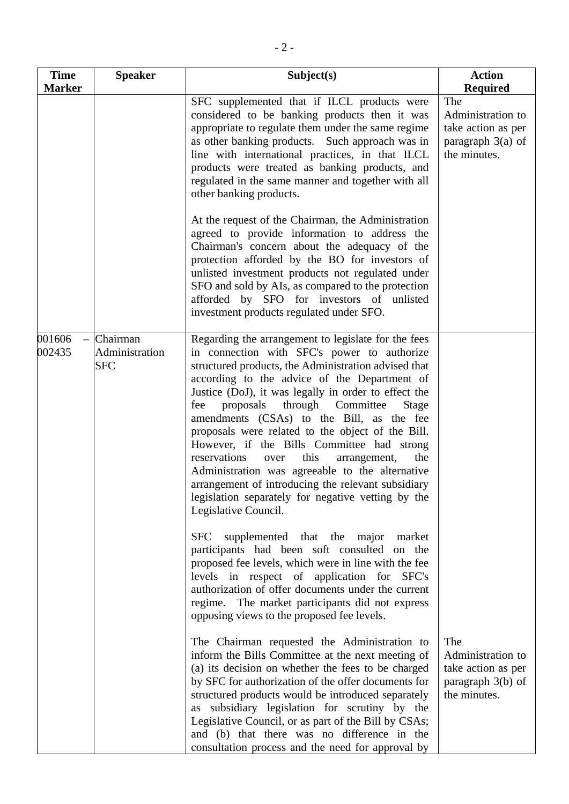| <b>Time</b>      | <b>Speaker</b>                           | Subject(s)                                                                                                                                                                                                                                                                                                                                                                                                                                                                                                                                                                                                                                                                                                         | <b>Action</b>                                                                                            |
|------------------|------------------------------------------|--------------------------------------------------------------------------------------------------------------------------------------------------------------------------------------------------------------------------------------------------------------------------------------------------------------------------------------------------------------------------------------------------------------------------------------------------------------------------------------------------------------------------------------------------------------------------------------------------------------------------------------------------------------------------------------------------------------------|----------------------------------------------------------------------------------------------------------|
| <b>Marker</b>    |                                          | SFC supplemented that if ILCL products were<br>considered to be banking products then it was<br>appropriate to regulate them under the same regime<br>as other banking products. Such approach was in<br>line with international practices, in that ILCL<br>products were treated as banking products, and<br>regulated in the same manner and together with all<br>other banking products.                                                                                                                                                                                                                                                                                                                        | <b>Required</b><br>The<br>Administration to<br>take action as per<br>paragraph $3(a)$ of<br>the minutes. |
|                  |                                          | At the request of the Chairman, the Administration<br>agreed to provide information to address the<br>Chairman's concern about the adequacy of the<br>protection afforded by the BO for investors of<br>unlisted investment products not regulated under<br>SFO and sold by AIs, as compared to the protection<br>afforded by SFO for investors of unlisted<br>investment products regulated under SFO.                                                                                                                                                                                                                                                                                                            |                                                                                                          |
| 001606<br>002435 | Chairman<br>Administration<br><b>SFC</b> | Regarding the arrangement to legislate for the fees<br>in connection with SFC's power to authorize<br>structured products, the Administration advised that<br>according to the advice of the Department of<br>Justice (DoJ), it was legally in order to effect the<br>proposals<br>through Committee<br>fee<br>Stage<br>amendments (CSAs) to the Bill, as the fee<br>proposals were related to the object of the Bill.<br>However, if the Bills Committee had strong<br>reservations<br>this<br>arrangement,<br>the<br>over<br>Administration was agreeable to the alternative<br>arrangement of introducing the relevant subsidiary<br>legislation separately for negative vetting by the<br>Legislative Council. |                                                                                                          |
|                  |                                          | supplemented that the major<br><b>SFC</b><br>market<br>participants had been soft consulted on the<br>proposed fee levels, which were in line with the fee<br>levels in respect of application for<br>SFC's<br>authorization of offer documents under the current<br>regime. The market participants did not express<br>opposing views to the proposed fee levels.                                                                                                                                                                                                                                                                                                                                                 |                                                                                                          |
|                  |                                          | The Chairman requested the Administration to<br>inform the Bills Committee at the next meeting of<br>(a) its decision on whether the fees to be charged<br>by SFC for authorization of the offer documents for<br>structured products would be introduced separately<br>as subsidiary legislation for scrutiny by the<br>Legislative Council, or as part of the Bill by CSAs;<br>and (b) that there was no difference in the<br>consultation process and the need for approval by                                                                                                                                                                                                                                  | The<br>Administration to<br>take action as per<br>paragraph $3(b)$ of<br>the minutes.                    |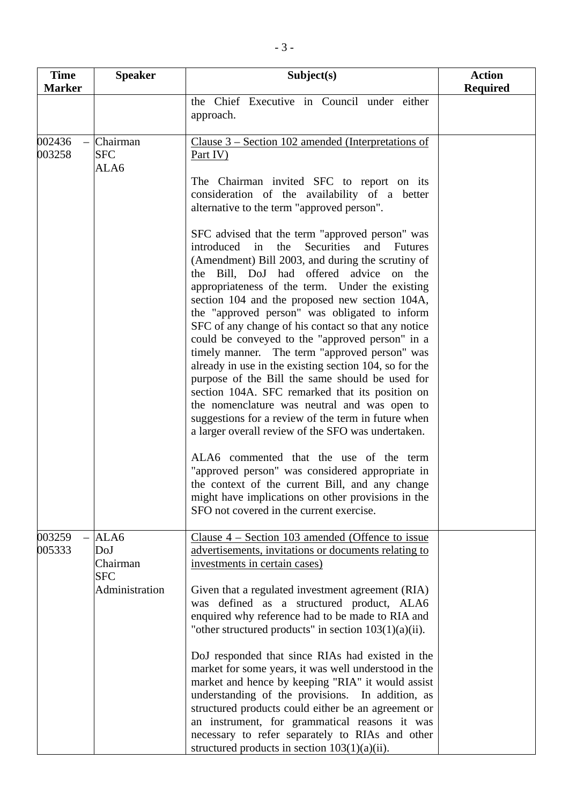| <b>Time</b>      | <b>Speaker</b>                 | Subject(s)                                                                                                                                                                                                                                                                                                                                                                                                                                                                                                                                                                                                                                                                                                                                                                                                                                                             | <b>Action</b>   |
|------------------|--------------------------------|------------------------------------------------------------------------------------------------------------------------------------------------------------------------------------------------------------------------------------------------------------------------------------------------------------------------------------------------------------------------------------------------------------------------------------------------------------------------------------------------------------------------------------------------------------------------------------------------------------------------------------------------------------------------------------------------------------------------------------------------------------------------------------------------------------------------------------------------------------------------|-----------------|
| <b>Marker</b>    |                                |                                                                                                                                                                                                                                                                                                                                                                                                                                                                                                                                                                                                                                                                                                                                                                                                                                                                        | <b>Required</b> |
|                  |                                | the Chief Executive in Council under either<br>approach.                                                                                                                                                                                                                                                                                                                                                                                                                                                                                                                                                                                                                                                                                                                                                                                                               |                 |
| 002436<br>003258 | Chairman<br><b>SFC</b><br>ALA6 | Clause $3$ – Section 102 amended (Interpretations of<br>Part IV)                                                                                                                                                                                                                                                                                                                                                                                                                                                                                                                                                                                                                                                                                                                                                                                                       |                 |
|                  |                                | The Chairman invited SFC to report on its<br>consideration of the availability of a better<br>alternative to the term "approved person".                                                                                                                                                                                                                                                                                                                                                                                                                                                                                                                                                                                                                                                                                                                               |                 |
|                  |                                | SFC advised that the term "approved person" was<br>in<br><b>Securities</b><br>introduced<br>the<br>and<br><b>Futures</b><br>(Amendment) Bill 2003, and during the scrutiny of<br>the Bill, DoJ had offered advice on the<br>appropriateness of the term. Under the existing<br>section 104 and the proposed new section 104A,<br>the "approved person" was obligated to inform<br>SFC of any change of his contact so that any notice<br>could be conveyed to the "approved person" in a<br>timely manner. The term "approved person" was<br>already in use in the existing section 104, so for the<br>purpose of the Bill the same should be used for<br>section 104A. SFC remarked that its position on<br>the nomenclature was neutral and was open to<br>suggestions for a review of the term in future when<br>a larger overall review of the SFO was undertaken. |                 |
|                  |                                | ALA6 commented that the use of the term<br>"approved person" was considered appropriate in<br>the context of the current Bill, and any change<br>might have implications on other provisions in the<br>SFO not covered in the current exercise.                                                                                                                                                                                                                                                                                                                                                                                                                                                                                                                                                                                                                        |                 |
| 003259           | ALA6                           | Clause $4$ – Section 103 amended (Offence to issue                                                                                                                                                                                                                                                                                                                                                                                                                                                                                                                                                                                                                                                                                                                                                                                                                     |                 |
| 005333           | DoJ<br>Chairman<br><b>SFC</b>  | advertisements, invitations or documents relating to<br>investments in certain cases)                                                                                                                                                                                                                                                                                                                                                                                                                                                                                                                                                                                                                                                                                                                                                                                  |                 |
|                  | Administration                 | Given that a regulated investment agreement (RIA)<br>was defined as a structured product, ALA6<br>enquired why reference had to be made to RIA and<br>"other structured products" in section $103(1)(a)(ii)$ .                                                                                                                                                                                                                                                                                                                                                                                                                                                                                                                                                                                                                                                         |                 |
|                  |                                | DoJ responded that since RIAs had existed in the<br>market for some years, it was well understood in the<br>market and hence by keeping "RIA" it would assist<br>understanding of the provisions. In addition, as<br>structured products could either be an agreement or<br>an instrument, for grammatical reasons it was<br>necessary to refer separately to RIAs and other<br>structured products in section $103(1)(a)(ii)$ .                                                                                                                                                                                                                                                                                                                                                                                                                                       |                 |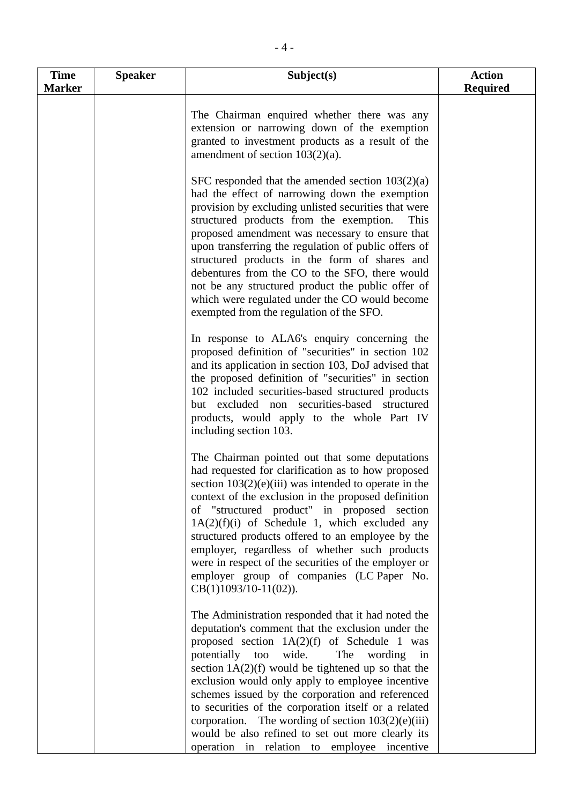| <b>Time</b><br><b>Marker</b> | <b>Speaker</b> | Subject(s)                                                                                                                                                                                                                                                                                                                                                                                                                                                                                                                                                                                    | <b>Action</b><br><b>Required</b> |
|------------------------------|----------------|-----------------------------------------------------------------------------------------------------------------------------------------------------------------------------------------------------------------------------------------------------------------------------------------------------------------------------------------------------------------------------------------------------------------------------------------------------------------------------------------------------------------------------------------------------------------------------------------------|----------------------------------|
|                              |                | The Chairman enquired whether there was any<br>extension or narrowing down of the exemption<br>granted to investment products as a result of the<br>amendment of section $103(2)(a)$ .                                                                                                                                                                                                                                                                                                                                                                                                        |                                  |
|                              |                | SFC responded that the amended section $103(2)(a)$<br>had the effect of narrowing down the exemption<br>provision by excluding unlisted securities that were<br>structured products from the exemption.<br>This<br>proposed amendment was necessary to ensure that<br>upon transferring the regulation of public offers of<br>structured products in the form of shares and<br>debentures from the CO to the SFO, there would<br>not be any structured product the public offer of<br>which were regulated under the CO would become<br>exempted from the regulation of the SFO.              |                                  |
|                              |                | In response to ALA6's enquiry concerning the<br>proposed definition of "securities" in section 102<br>and its application in section 103, DoJ advised that<br>the proposed definition of "securities" in section<br>102 included securities-based structured products<br>but excluded non securities-based structured<br>products, would apply to the whole Part IV<br>including section 103.                                                                                                                                                                                                 |                                  |
|                              |                | The Chairman pointed out that some deputations<br>had requested for clarification as to how proposed<br>section $103(2)(e)(iii)$ was intended to operate in the<br>context of the exclusion in the proposed definition<br>of "structured product" in proposed section<br>$1A(2)(f)(i)$ of Schedule 1, which excluded any<br>structured products offered to an employee by the<br>employer, regardless of whether such products<br>were in respect of the securities of the employer or<br>employer group of companies (LC Paper No.<br>$CB(1)1093/10-11(02)).$                                |                                  |
|                              |                | The Administration responded that it had noted the<br>deputation's comment that the exclusion under the<br>proposed section $1A(2)(f)$ of Schedule 1 was<br>potentially too<br>wide.<br>The wording<br>in<br>section $1A(2)(f)$ would be tightened up so that the<br>exclusion would only apply to employee incentive<br>schemes issued by the corporation and referenced<br>to securities of the corporation itself or a related<br>corporation. The wording of section $103(2)(e)(iii)$<br>would be also refined to set out more clearly its<br>operation in relation to employee incentive |                                  |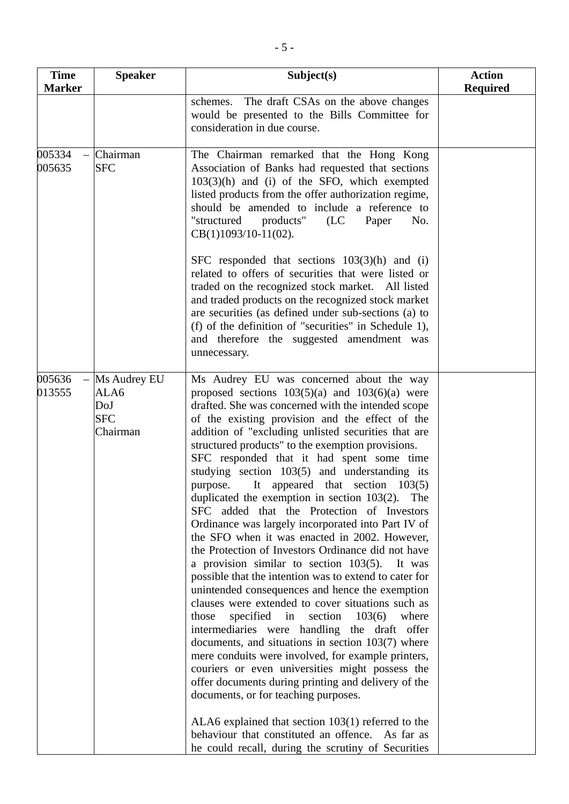| <b>Time</b><br><b>Marker</b> | <b>Speaker</b>                                        | Subject(s)                                                                                                                                                                                                                                                                                                                                                                                                                                                                                                                                                                                                                                                                                                                                                                                                                                                                                                                                                                                                                                                                                                                                                                                                                                                                                                                                                                 | <b>Action</b><br><b>Required</b> |
|------------------------------|-------------------------------------------------------|----------------------------------------------------------------------------------------------------------------------------------------------------------------------------------------------------------------------------------------------------------------------------------------------------------------------------------------------------------------------------------------------------------------------------------------------------------------------------------------------------------------------------------------------------------------------------------------------------------------------------------------------------------------------------------------------------------------------------------------------------------------------------------------------------------------------------------------------------------------------------------------------------------------------------------------------------------------------------------------------------------------------------------------------------------------------------------------------------------------------------------------------------------------------------------------------------------------------------------------------------------------------------------------------------------------------------------------------------------------------------|----------------------------------|
|                              |                                                       | schemes. The draft CSAs on the above changes<br>would be presented to the Bills Committee for<br>consideration in due course.                                                                                                                                                                                                                                                                                                                                                                                                                                                                                                                                                                                                                                                                                                                                                                                                                                                                                                                                                                                                                                                                                                                                                                                                                                              |                                  |
| 005334<br>005635             | Chairman<br><b>SFC</b>                                | The Chairman remarked that the Hong Kong<br>Association of Banks had requested that sections<br>$103(3)(h)$ and (i) of the SFO, which exempted<br>listed products from the offer authorization regime,<br>should be amended to include a reference to<br>"structured<br>products"<br>No.<br>(LC)<br>Paper<br>$CB(1)1093/10-11(02)$ .<br>SFC responded that sections $103(3)(h)$ and (i)<br>related to offers of securities that were listed or<br>traded on the recognized stock market. All listed<br>and traded products on the recognized stock market<br>are securities (as defined under sub-sections (a) to<br>(f) of the definition of "securities" in Schedule 1),<br>and therefore the suggested amendment was                                                                                                                                                                                                                                                                                                                                                                                                                                                                                                                                                                                                                                                    |                                  |
|                              |                                                       | unnecessary.                                                                                                                                                                                                                                                                                                                                                                                                                                                                                                                                                                                                                                                                                                                                                                                                                                                                                                                                                                                                                                                                                                                                                                                                                                                                                                                                                               |                                  |
| 005636<br>013555             | Ms Audrey EU<br>ALA6<br>DoJ<br><b>SFC</b><br>Chairman | Ms Audrey EU was concerned about the way<br>proposed sections $103(5)(a)$ and $103(6)(a)$ were<br>drafted. She was concerned with the intended scope<br>of the existing provision and the effect of the<br>addition of "excluding unlisted securities that are<br>structured products" to the exemption provisions.<br>SFC responded that it had spent some time<br>studying section 103(5) and understanding its<br>purpose. It appeared that section 103(5)<br>duplicated the exemption in section $103(2)$ . The<br>SFC added that the Protection of Investors<br>Ordinance was largely incorporated into Part IV of<br>the SFO when it was enacted in 2002. However,<br>the Protection of Investors Ordinance did not have<br>a provision similar to section 103(5). It was<br>possible that the intention was to extend to cater for<br>unintended consequences and hence the exemption<br>clauses were extended to cover situations such as<br>specified in section<br>103(6)<br>those<br>where<br>intermediaries were handling the draft offer<br>documents, and situations in section 103(7) where<br>mere conduits were involved, for example printers,<br>couriers or even universities might possess the<br>offer documents during printing and delivery of the<br>documents, or for teaching purposes.<br>ALA6 explained that section $103(1)$ referred to the |                                  |
|                              |                                                       | behaviour that constituted an offence. As far as<br>he could recall, during the scrutiny of Securities                                                                                                                                                                                                                                                                                                                                                                                                                                                                                                                                                                                                                                                                                                                                                                                                                                                                                                                                                                                                                                                                                                                                                                                                                                                                     |                                  |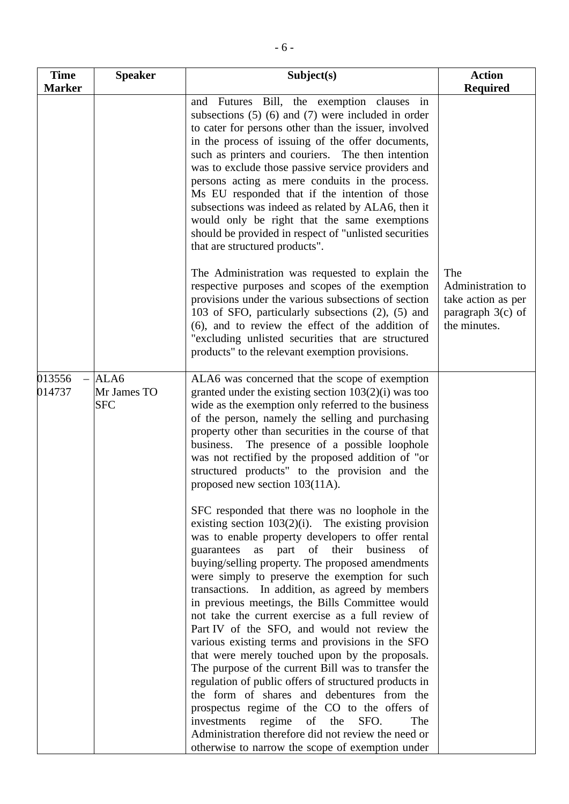| <b>Time</b>                  | <b>Speaker</b>                    | Subject(s)                                                                                                                                                                                                                                                                                                                                                                                                                                                                                                                                                                                                                                                                                                                                                                                                                                           | <b>Action</b>                                                                         |
|------------------------------|-----------------------------------|------------------------------------------------------------------------------------------------------------------------------------------------------------------------------------------------------------------------------------------------------------------------------------------------------------------------------------------------------------------------------------------------------------------------------------------------------------------------------------------------------------------------------------------------------------------------------------------------------------------------------------------------------------------------------------------------------------------------------------------------------------------------------------------------------------------------------------------------------|---------------------------------------------------------------------------------------|
| <b>Marker</b>                |                                   | Futures Bill, the exemption clauses in<br>and<br>subsections $(5)$ $(6)$ and $(7)$ were included in order<br>to cater for persons other than the issuer, involved<br>in the process of issuing of the offer documents,<br>such as printers and couriers. The then intention<br>was to exclude those passive service providers and<br>persons acting as mere conduits in the process.<br>Ms EU responded that if the intention of those<br>subsections was indeed as related by ALA6, then it<br>would only be right that the same exemptions<br>should be provided in respect of "unlisted securities"<br>that are structured products".                                                                                                                                                                                                             | <b>Required</b>                                                                       |
|                              |                                   | The Administration was requested to explain the<br>respective purposes and scopes of the exemption<br>provisions under the various subsections of section<br>103 of SFO, particularly subsections (2), (5) and<br>(6), and to review the effect of the addition of<br>"excluding unlisted securities that are structured<br>products" to the relevant exemption provisions.                                                                                                                                                                                                                                                                                                                                                                                                                                                                          | The<br>Administration to<br>take action as per<br>paragraph $3(c)$ of<br>the minutes. |
| 013556<br>$\equiv$<br>014737 | ALA6<br>Mr James TO<br><b>SFC</b> | ALA6 was concerned that the scope of exemption<br>granted under the existing section $103(2)(i)$ was too<br>wide as the exemption only referred to the business<br>of the person, namely the selling and purchasing<br>property other than securities in the course of that<br>The presence of a possible loophole<br>business.<br>was not rectified by the proposed addition of "or<br>structured products" to the provision and the<br>proposed new section 103(11A).                                                                                                                                                                                                                                                                                                                                                                              |                                                                                       |
|                              |                                   | SFC responded that there was no loophole in the<br>existing section $103(2)(i)$ . The existing provision<br>was to enable property developers to offer rental<br>as part of their business<br>guarantees<br>of<br>buying/selling property. The proposed amendments<br>were simply to preserve the exemption for such<br>transactions. In addition, as agreed by members<br>in previous meetings, the Bills Committee would<br>not take the current exercise as a full review of<br>Part IV of the SFO, and would not review the<br>various existing terms and provisions in the SFO<br>that were merely touched upon by the proposals.<br>The purpose of the current Bill was to transfer the<br>regulation of public offers of structured products in<br>the form of shares and debentures from the<br>prospectus regime of the CO to the offers of |                                                                                       |
|                              |                                   | investments<br>regime<br>the<br>of<br>SFO.<br>The<br>Administration therefore did not review the need or<br>otherwise to narrow the scope of exemption under                                                                                                                                                                                                                                                                                                                                                                                                                                                                                                                                                                                                                                                                                         |                                                                                       |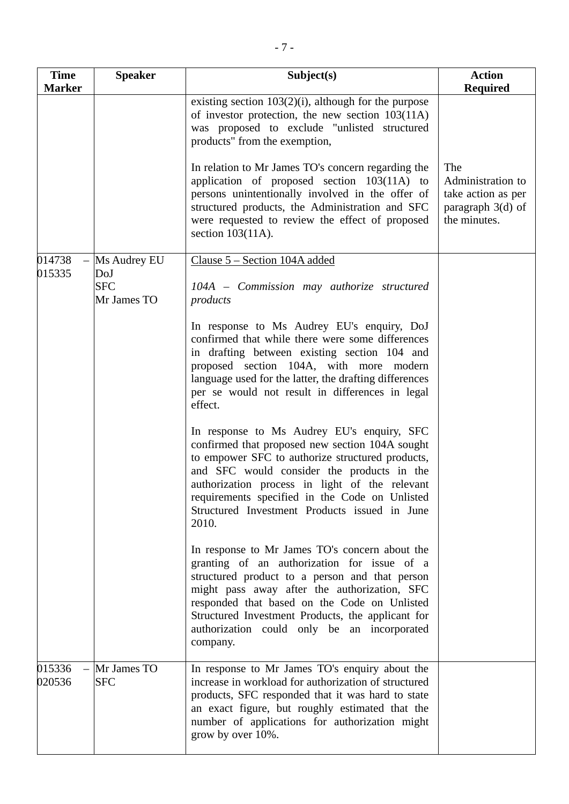| <b>Time</b>                  | <b>Speaker</b>                   | Subject(s)                                                                                                                                                                                                                                                                                                                                                      | <b>Action</b>                                                                         |
|------------------------------|----------------------------------|-----------------------------------------------------------------------------------------------------------------------------------------------------------------------------------------------------------------------------------------------------------------------------------------------------------------------------------------------------------------|---------------------------------------------------------------------------------------|
| <b>Marker</b>                |                                  |                                                                                                                                                                                                                                                                                                                                                                 | <b>Required</b>                                                                       |
|                              |                                  | existing section $103(2)(i)$ , although for the purpose<br>of investor protection, the new section $103(11)$<br>was proposed to exclude "unlisted structured<br>products" from the exemption,                                                                                                                                                                   |                                                                                       |
|                              |                                  | In relation to Mr James TO's concern regarding the<br>application of proposed section 103(11A) to<br>persons unintentionally involved in the offer of<br>structured products, the Administration and SFC<br>were requested to review the effect of proposed<br>section $103(11A)$ .                                                                             | The<br>Administration to<br>take action as per<br>paragraph $3(d)$ of<br>the minutes. |
| 014738                       | Ms Audrey EU                     | Clause 5 – Section 104A added                                                                                                                                                                                                                                                                                                                                   |                                                                                       |
| 015335                       | DoJ<br><b>SFC</b><br>Mr James TO | 104A - Commission may authorize structured<br>products                                                                                                                                                                                                                                                                                                          |                                                                                       |
|                              |                                  | In response to Ms Audrey EU's enquiry, DoJ<br>confirmed that while there were some differences<br>in drafting between existing section 104 and<br>proposed section 104A, with more modern<br>language used for the latter, the drafting differences<br>per se would not result in differences in legal<br>effect.                                               |                                                                                       |
|                              |                                  | In response to Ms Audrey EU's enquiry, SFC<br>confirmed that proposed new section 104A sought<br>to empower SFC to authorize structured products,<br>and SFC would consider the products in the<br>authorization process in light of the relevant<br>requirements specified in the Code on Unlisted<br>Structured Investment Products issued in June<br>2010.   |                                                                                       |
|                              |                                  | In response to Mr James TO's concern about the<br>granting of an authorization for issue of a<br>structured product to a person and that person<br>might pass away after the authorization, SFC<br>responded that based on the Code on Unlisted<br>Structured Investment Products, the applicant for<br>authorization could only be an incorporated<br>company. |                                                                                       |
| 015336<br>$\equiv$<br>020536 | Mr James TO<br><b>SFC</b>        | In response to Mr James TO's enquiry about the<br>increase in workload for authorization of structured<br>products, SFC responded that it was hard to state<br>an exact figure, but roughly estimated that the<br>number of applications for authorization might<br>grow by over 10%.                                                                           |                                                                                       |